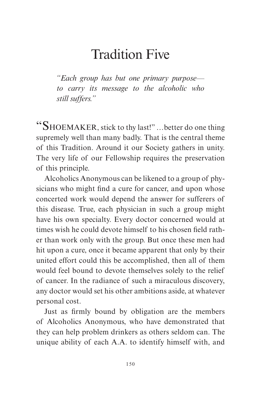## Tradition Five

*"Each group has but one primary purpose to carry its message to the alcoholic who still suffers."*

"SHOEMAKER, stick to thy last!" …better do one thing supremely well than many badly. That is the central theme of this Tradition. Around it our Society gathers in unity. The very life of our Fellowship requires the preservation of this principle.

Alcoholics Anonymous can be likened to a group of physicians who might find a cure for cancer, and upon whose concerted work would depend the answer for sufferers of this disease. True, each physician in such a group might have his own specialty. Every doctor concerned would at times wish he could devote himself to his chosen field rather than work only with the group. But once these men had hit upon a cure, once it became apparent that only by their united effort could this be accomplished, then all of them would feel bound to devote themselves solely to the relief of cancer. In the radiance of such a miraculous discovery, any doctor would set his other ambitions aside, at whatever personal cost.

Just as firmly bound by obligation are the members of Alcoholics Anonymous, who have demonstrated that they can help problem drinkers as others seldom can. The unique ability of each A.A. to identify himself with, and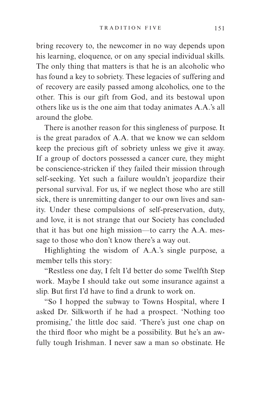bring recovery to, the newcomer in no way depends upon his learning, eloquence, or on any special individual skills. The only thing that matters is that he is an alcoholic who has found a key to sobriety. These legacies of suffering and of recovery are easily passed among alcoholics, one to the other. This is our gift from God, and its bestowal upon others like us is the one aim that today animates A.A.'s all around the globe.

There is another reason for this singleness of purpose. It is the great paradox of A.A. that we know we can seldom keep the precious gift of sobriety unless we give it away. If a group of doctors possessed a cancer cure, they might be conscience-stricken if they failed their mission through self-seeking. Yet such a failure wouldn't jeopardize their personal survival. For us, if we neglect those who are still sick, there is unremitting danger to our own lives and sanity. Under these compulsions of self-preservation, duty, and love, it is not strange that our Society has concluded that it has but one high mission—to carry the A.A. message to those who don't know there's a way out.

Highlighting the wisdom of A.A.'s single purpose, a member tells this story:

"Restless one day, I felt I'd better do some Twelfth Step work. Maybe I should take out some insurance against a slip. But first I'd have to find a drunk to work on.

"So I hopped the subway to Towns Hospital, where I asked Dr. Silkworth if he had a prospect. 'Nothing too promising,' the little doc said. 'There's just one chap on the third floor who might be a possibility. But he's an awfully tough Irishman. I never saw a man so obstinate. He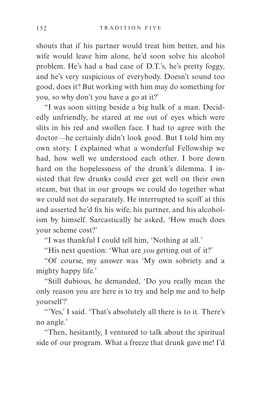shouts that if his partner would treat him better, and his wife would leave him alone, he'd soon solve his alcohol problem. He's had a bad case of D.T.'s, he's pretty foggy, and he's very suspicious of everybody. Doesn't sound too good, does it? But working with him may do something for you, so why don't you have a go at it?'

"I was soon sitting beside a big hulk of a man. Decidedly unfriendly, he stared at me out of eyes which were slits in his red and swollen face. I had to agree with the doctor—he certainly didn't look good. But I told him my own story. I explained what a wonderful Fellowship we had, how well we understood each other. I bore down hard on the hopelessness of the drunk's dilemma. I insisted that few drunks could ever get well on their own steam, but that in our groups we could do together what we could not do separately. He interrupted to scoff at this and asserted he'd fix his wife, his partner, and his alcoholism by himself. Sarcastically he asked, 'How much does your scheme cost?'

"I was thankful I could tell him, 'Nothing at all.'

"His next question: 'What are *you* getting out of it?'

"Of course, my answer was 'My own sobriety and a mighty happy life.'

"Still dubious, he demanded, 'Do you really mean the only reason you are here is to try and help me and to help yourself?'

"'Yes,' I said. 'That's absolutely all there is to it. There's no angle.'

"Then, hesitantly, I ventured to talk about the spiritual side of our program. What a freeze that drunk gave me! I'd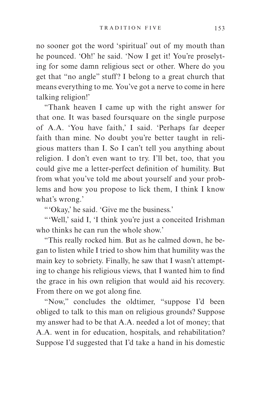no sooner got the word 'spiritual' out of my mouth than he pounced. 'Oh!' he said. 'Now I get it! You're proselyting for some damn religious sect or other. Where do you get that "no angle" stuff? I belong to a great church that means everything to me. You've got a nerve to come in here talking religion!'

"Thank heaven I came up with the right answer for that one. It was based foursquare on the single purpose of A.A. 'You have faith,' I said. 'Perhaps far deeper faith than mine. No doubt you're better taught in religious matters than I. So I can't tell you anything about religion. I don't even want to try. I'll bet, too, that you could give me a letter-perfect definition of humility. But from what you've told me about yourself and your problems and how you propose to lick them, I think I know what's wrong.'

"'Okay,' he said. 'Give me the business.'

"'Well,' said I, 'I think you're just a conceited Irishman who thinks he can run the whole show.'

"This really rocked him. But as he calmed down, he began to listen while I tried to show him that humility was the main key to sobriety. Finally, he saw that I wasn't attempting to change his religious views, that I wanted him to find the grace in his own religion that would aid his recovery. From there on we got along fine.

"Now," concludes the oldtimer, "suppose I'd been obliged to talk to this man on religious grounds? Suppose my answer had to be that A.A. needed a lot of money; that A.A. went in for education, hospitals, and rehabilitation? Suppose I'd suggested that I'd take a hand in his domestic